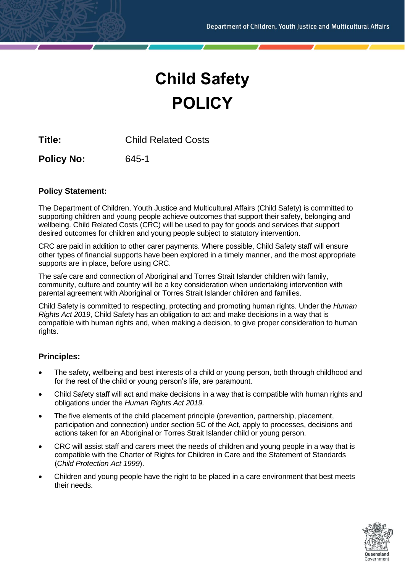# **Child Safety POLICY**

**Title:** Child Related Costs

**Policy No:** 645-1

# **Policy Statement:**

The Department of Children, Youth Justice and Multicultural Affairs (Child Safety) is committed to supporting children and young people achieve outcomes that support their safety, belonging and wellbeing. Child Related Costs (CRC) will be used to pay for goods and services that support desired outcomes for children and young people subject to statutory intervention.

CRC are paid in addition to other carer payments. Where possible, Child Safety staff will ensure other types of financial supports have been explored in a timely manner, and the most appropriate supports are in place, before using CRC.

The safe care and connection of Aboriginal and Torres Strait Islander children with family, community, culture and country will be a key consideration when undertaking intervention with parental agreement with Aboriginal or Torres Strait Islander children and families.

Child Safety is committed to respecting, protecting and promoting human rights. Under the *Human Rights Act 2019*, Child Safety has an obligation to act and make decisions in a way that is compatible with human rights and, when making a decision, to give proper consideration to human rights.

# **Principles:**

- The safety, wellbeing and best interests of a child or young person, both through childhood and for the rest of the child or young person's life, are paramount.
- Child Safety staff will act and make decisions in a way that is compatible with human rights and obligations under the *Human Rights Act 2019.*
- The five elements of the child placement principle (prevention, partnership, placement, participation and connection) under section 5C of the Act, apply to processes, decisions and actions taken for an Aboriginal or Torres Strait Islander child or young person.
- CRC will assist staff and carers meet the needs of children and young people in a way that is compatible with the Charter of Rights for Children in Care and the Statement of Standards (*Child Protection Act 1999*).
- Children and young people have the right to be placed in a care environment that best meets their needs.

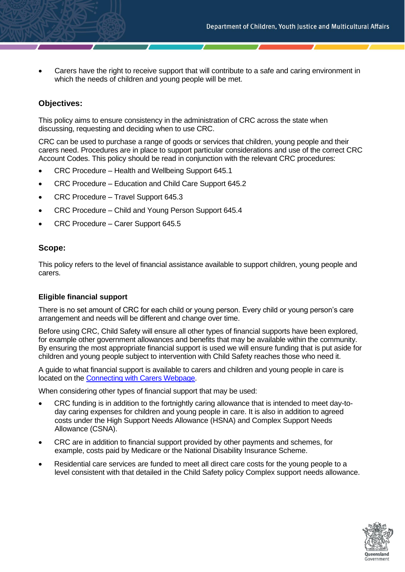Carers have the right to receive support that will contribute to a safe and caring environment in which the needs of children and young people will be met.

# **Objectives:**

This policy aims to ensure consistency in the administration of CRC across the state when discussing, requesting and deciding when to use CRC.

CRC can be used to purchase a range of goods or services that children, young people and their carers need. Procedures are in place to support particular considerations and use of the correct CRC Account Codes. This policy should be read in conjunction with the relevant CRC procedures:

- CRC Procedure Health and Wellbeing Support 645.1
- CRC Procedure Education and Child Care Support 645.2
- CRC Procedure Travel Support 645.3
- CRC Procedure Child and Young Person Support 645.4
- CRC Procedure Carer Support 645.5

## **Scope:**

This policy refers to the level of financial assistance available to support children, young people and carers.

## **Eligible financial support**

There is no set amount of CRC for each child or young person. Every child or young person's care arrangement and needs will be different and change over time.

Before using CRC, Child Safety will ensure all other types of financial supports have been explored, for example other government allowances and benefits that may be available within the community. By ensuring the most appropriate financial support is used we will ensure funding that is put aside for children and young people subject to intervention with Child Safety reaches those who need it.

A guide to what financial support is available to carers and children and young people in care is located on the [Connecting with Carers Webpage.](https://www.qld.gov.au/community/caring-child/foster-kinship-care/information-for-carers)

When considering other types of financial support that may be used:

- CRC funding is in addition to the fortnightly caring allowance that is intended to meet day-today caring expenses for children and young people in care. It is also in addition to agreed costs under the High Support Needs Allowance (HSNA) and Complex Support Needs Allowance (CSNA).
- CRC are in addition to financial support provided by other payments and schemes, for example, costs paid by Medicare or the National Disability Insurance Scheme.
- Residential care services are funded to meet all direct care costs for the young people to a level consistent with that detailed in the Child Safety policy Complex support needs allowance.

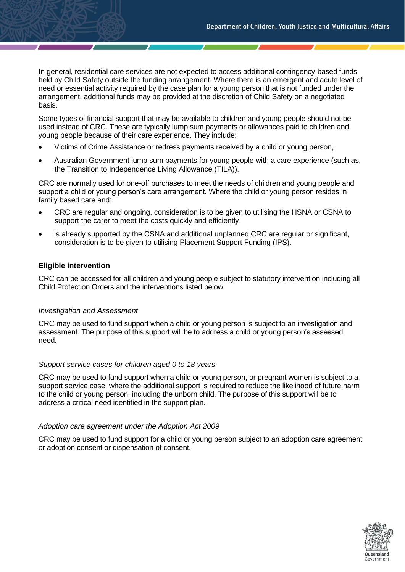In general, residential care services are not expected to access additional contingency-based funds held by Child Safety outside the funding arrangement. Where there is an emergent and acute level of need or essential activity required by the case plan for a young person that is not funded under the arrangement, additional funds may be provided at the discretion of Child Safety on a negotiated basis.

Some types of financial support that may be available to children and young people should not be used instead of CRC. These are typically lump sum payments or allowances paid to children and young people because of their care experience. They include:

- Victims of Crime Assistance or redress payments received by a child or young person,
- Australian Government lump sum payments for young people with a care experience (such as, the Transition to Independence Living Allowance (TILA)).

CRC are normally used for one-off purchases to meet the needs of children and young people and support a child or young person's care arrangement. Where the child or young person resides in family based care and:

- CRC are regular and ongoing, consideration is to be given to utilising the HSNA or CSNA to support the carer to meet the costs quickly and efficiently
- is already supported by the CSNA and additional unplanned CRC are regular or significant, consideration is to be given to utilising Placement Support Funding (IPS).

## **Eligible intervention**

CRC can be accessed for all children and young people subject to statutory intervention including all Child Protection Orders and the interventions listed below.

## *Investigation and Assessment*

CRC may be used to fund support when a child or young person is subject to an investigation and assessment. The purpose of this support will be to address a child or young person's assessed need.

#### *Support service cases for children aged 0 to 18 years*

CRC may be used to fund support when a child or young person, or pregnant women is subject to a support service case, where the additional support is required to reduce the likelihood of future harm to the child or young person, including the unborn child. The purpose of this support will be to address a critical need identified in the support plan.

#### *Adoption care agreement under the Adoption Act 2009*

CRC may be used to fund support for a child or young person subject to an adoption care agreement or adoption consent or dispensation of consent.

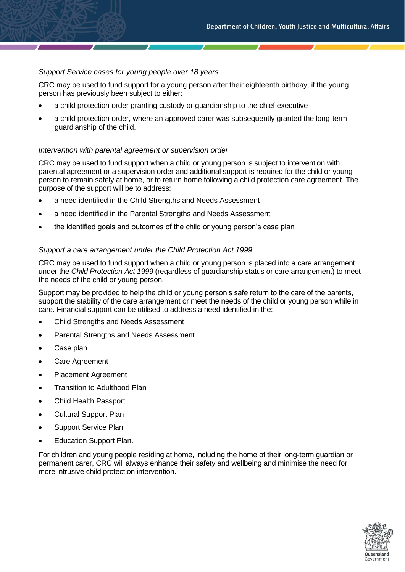# *Support Service cases for young people over 18 years*

CRC may be used to fund support for a young person after their eighteenth birthday, if the young person has previously been subject to either:

- a child protection order granting custody or guardianship to the chief executive
- a child protection order, where an approved carer was subsequently granted the long-term guardianship of the child.

#### *Intervention with parental agreement or supervision order*

CRC may be used to fund support when a child or young person is subject to intervention with parental agreement or a supervision order and additional support is required for the child or young person to remain safely at home, or to return home following a child protection care agreement. The purpose of the support will be to address:

- a need identified in the Child Strengths and Needs Assessment
- a need identified in the Parental Strengths and Needs Assessment
- the identified goals and outcomes of the child or young person's case plan

#### *Support a care arrangement under the Child Protection Act 1999*

CRC may be used to fund support when a child or young person is placed into a care arrangement under the *Child Protection Act 1999* (regardless of guardianship status or care arrangement) to meet the needs of the child or young person.

Support may be provided to help the child or young person's safe return to the care of the parents, support the stability of the care arrangement or meet the needs of the child or young person while in care. Financial support can be utilised to address a need identified in the:

- Child Strengths and Needs Assessment
- Parental Strengths and Needs Assessment
- Case plan
- Care Agreement
- Placement Agreement
- Transition to Adulthood Plan
- Child Health Passport
- Cultural Support Plan
- Support Service Plan
- Education Support Plan.

For children and young people residing at home, including the home of their long-term guardian or permanent carer, CRC will always enhance their safety and wellbeing and minimise the need for more intrusive child protection intervention.

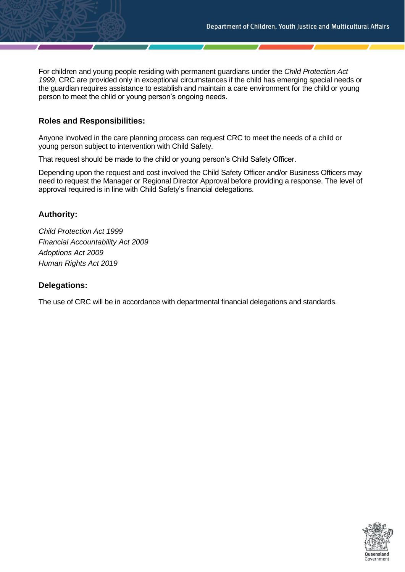For children and young people residing with permanent guardians under the *Child Protection Act 1999*, CRC are provided only in exceptional circumstances if the child has emerging special needs or the guardian requires assistance to establish and maintain a care environment for the child or young person to meet the child or young person's ongoing needs.

# **Roles and Responsibilities:**

Anyone involved in the care planning process can request CRC to meet the needs of a child or young person subject to intervention with Child Safety.

That request should be made to the child or young person's Child Safety Officer.

Depending upon the request and cost involved the Child Safety Officer and/or Business Officers may need to request the Manager or Regional Director Approval before providing a response. The level of approval required is in line with Child Safety's financial delegations.

# **Authority:**

*Child Protection Act 1999 Financial Accountability Act 2009 Adoptions Act 2009 Human Rights Act 2019*

# **Delegations:**

The use of CRC will be in accordance with departmental financial delegations and standards.

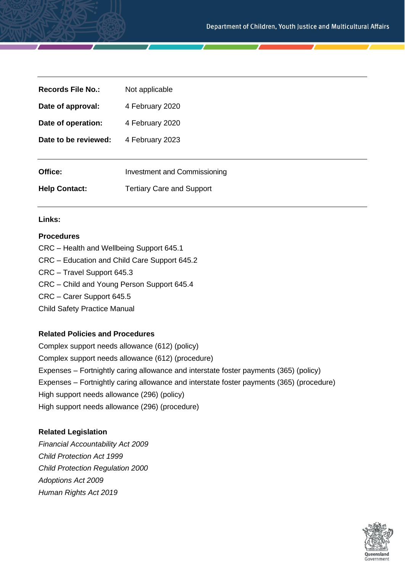| <b>Records File No.:</b> | Not applicable                      |
|--------------------------|-------------------------------------|
| Date of approval:        | 4 February 2020                     |
| Date of operation:       | 4 February 2020                     |
| Date to be reviewed:     | 4 February 2023                     |
|                          |                                     |
| Office:                  | <b>Investment and Commissioning</b> |
| <b>Help Contact:</b>     | <b>Tertiary Care and Support</b>    |

# **Links:**

# **Procedures**

- CRC Health and Wellbeing Support 645.1
- CRC Education and Child Care Support 645.2
- CRC Travel Support 645.3
- CRC Child and Young Person Support 645.4
- CRC Carer Support 645.5

Child Safety Practice Manual

## **Related Policies and Procedures**

Complex support needs allowance (612) (policy) Complex support needs allowance (612) (procedure) Expenses – Fortnightly caring allowance and interstate foster payments (365) (policy) Expenses – Fortnightly caring allowance and interstate foster payments (365) (procedure) High support needs allowance (296) (policy) High support needs allowance (296) (procedure)

## **Related Legislation**

*Financial Accountability Act 2009 Child Protection Act 1999 Child Protection Regulation 2000 Adoptions Act 2009 Human Rights Act 2019*